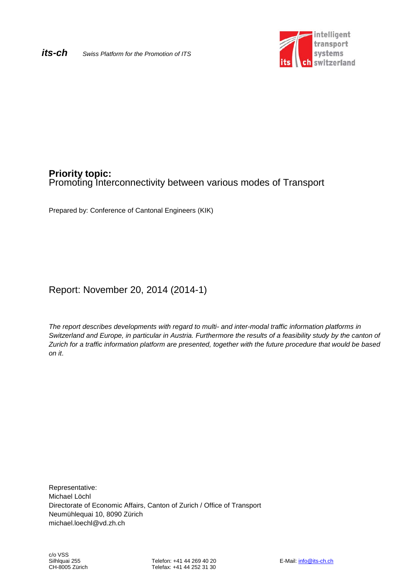

# **Priority topic:** Promoting Interconnectivity between various modes of Transport

Prepared by: Conference of Cantonal Engineers (KIK)

# Report: November 20, 2014 (2014-1)

*The report describes developments with regard to multi- and inter-modal traffic information platforms in Switzerland and Europe, in particular in Austria. Furthermore the results of a feasibility study by the canton of Zurich for a traffic information platform are presented, together with the future procedure that would be based on it*.

Representative: Michael Löchl Directorate of Economic Affairs, Canton of Zurich / Office of Transport Neumühlequai 10, 8090 Zürich michael.loechl@vd.zh.ch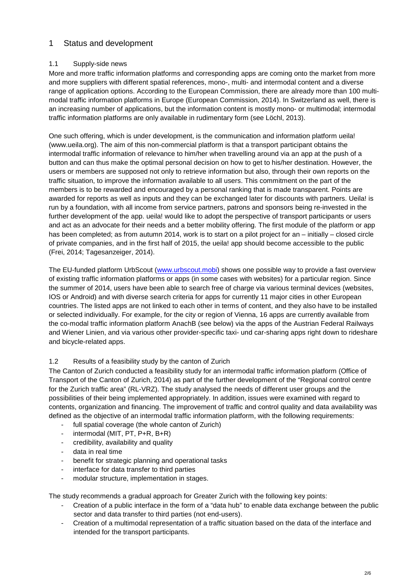## 1 Status and development

#### 1.1 Supply-side news

More and more traffic information platforms and corresponding apps are coming onto the market from more and more suppliers with different spatial references, mono-, multi- and intermodal content and a diverse range of application options. According to the European Commission, there are already more than 100 multimodal traffic information platforms in Europe (European Commission, 2014). In Switzerland as well, there is an increasing number of applications, but the information content is mostly mono- or multimodal; intermodal traffic information platforms are only available in rudimentary form (see Löchl, 2013).

One such offering, which is under development, is the communication and information platform ueila! (www.ueila.org). The aim of this non-commercial platform is that a transport participant obtains the intermodal traffic information of relevance to him/her when travelling around via an app at the push of a button and can thus make the optimal personal decision on how to get to his/her destination. However, the users or members are supposed not only to retrieve information but also, through their own reports on the traffic situation, to improve the information available to all users. This commitment on the part of the members is to be rewarded and encouraged by a personal ranking that is made transparent. Points are awarded for reports as well as inputs and they can be exchanged later for discounts with partners. Ueila! is run by a foundation, with all income from service partners, patrons and sponsors being re-invested in the further development of the app. ueila! would like to adopt the perspective of transport participants or users and act as an advocate for their needs and a better mobility offering. The first module of the platform or app has been completed; as from autumn 2014, work is to start on a pilot project for an – initially – closed circle of private companies, and in the first half of 2015, the ueila! app should become accessible to the public (Frei, 2014; Tagesanzeiger, 2014).

The EU-funded platform UrbScout [\(www.urbscout.mobi\)](http://www.urbscout.mobi/) shows one possible way to provide a fast overview of existing traffic information platforms or apps (in some cases with websites) for a particular region. Since the summer of 2014, users have been able to search free of charge via various terminal devices (websites, IOS or Android) and with diverse search criteria for apps for currently 11 major cities in other European countries. The listed apps are not linked to each other in terms of content, and they also have to be installed or selected individually. For example, for the city or region of Vienna, 16 apps are currently available from the co-modal traffic information platform AnachB (see below) via the apps of the Austrian Federal Railways and Wiener Linien, and via various other provider-specific taxi- und car-sharing apps right down to rideshare and bicycle-related apps.

#### 1.2 Results of a feasibility study by the canton of Zurich

The Canton of Zurich conducted a feasibility study for an intermodal traffic information platform (Office of Transport of the Canton of Zurich, 2014) as part of the further development of the "Regional control centre for the Zurich traffic area" (RL-VRZ). The study analysed the needs of different user groups and the possibilities of their being implemented appropriately. In addition, issues were examined with regard to contents, organization and financing. The improvement of traffic and control quality and data availability was defined as the objective of an intermodal traffic information platform, with the following requirements:

- full spatial coverage (the whole canton of Zurich)
- intermodal (MIT, PT, P+R, B+R)
- credibility, availability and quality
- data in real time
- benefit for strategic planning and operational tasks
- interface for data transfer to third parties
- modular structure, implementation in stages.

The study recommends a gradual approach for Greater Zurich with the following key points:

- Creation of a public interface in the form of a "data hub" to enable data exchange between the public sector and data transfer to third parties (not end-users).
- Creation of a multimodal representation of a traffic situation based on the data of the interface and intended for the transport participants.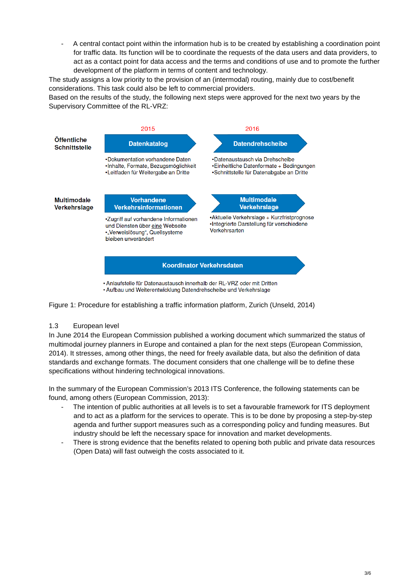- A central contact point within the information hub is to be created by establishing a coordination point for traffic data. Its function will be to coordinate the requests of the data users and data providers, to act as a contact point for data access and the terms and conditions of use and to promote the further development of the platform in terms of content and technology.

The study assigns a low priority to the provision of an (intermodal) routing, mainly due to cost/benefit considerations. This task could also be left to commercial providers.

Based on the results of the study, the following next steps were approved for the next two years by the Supervisory Committee of the RL-VRZ:



• Anlaufstelle für Datenaustausch innerhalb der RL-VRZ oder mit Dritten • Aufbau und Weiterentwicklung Datendrehscheibe und Verkehrslage

Figure 1: Procedure for establishing a traffic information platform, Zurich (Unseld, 2014)

#### 1.3 European level

In June 2014 the European Commission published a working document which summarized the status of multimodal journey planners in Europe and contained a plan for the next steps (European Commission, 2014). It stresses, among other things, the need for freely available data, but also the definition of data standards and exchange formats. The document considers that one challenge will be to define these specifications without hindering technological innovations.

In the summary of the European Commission's 2013 ITS Conference, the following statements can be found, among others (European Commission, 2013):

- The intention of public authorities at all levels is to set a favourable framework for ITS deployment and to act as a platform for the services to operate. This is to be done by proposing a step-by-step agenda and further support measures such as a corresponding policy and funding measures. But industry should be left the necessary space for innovation and market developments.
- There is strong evidence that the benefits related to opening both public and private data resources (Open Data) will fast outweigh the costs associated to it.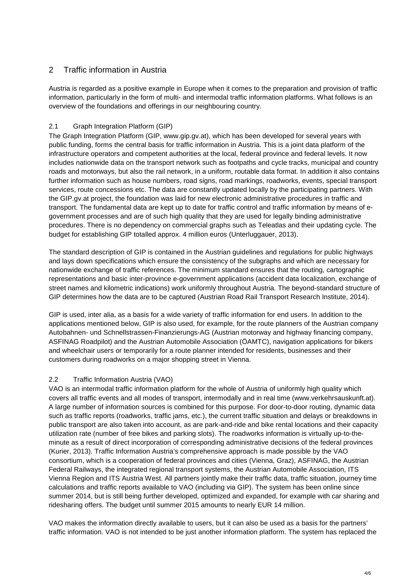## 2 Traffic information in Austria

Austria is regarded as a positive example in Europe when it comes to the preparation and provision of traffic information, particularly in the form of multi- and intermodal traffic information platforms. What follows is an overview of the foundations and offerings in our neighbouring country.

## 2.1 Graph Integration Platform (GIP)

The Graph Integration Platform (GIP, [www.gip.gv.at\)](http://www.gip.gv.at/), which has been developed for several years with public funding, forms the central basis for traffic information in Austria. This is a joint data platform of the infrastructure operators and competent authorities at the local, federal province and federal levels. It now includes nationwide data on the transport network such as footpaths and cycle tracks, municipal and country roads and motorways, but also the rail network, in a uniform, routable data format. In addition it also contains further information such as house numbers, road signs, road markings, roadworks, events, special transport services, route concessions etc. The data are constantly updated locally by the participating partners. With the GIP.gv.at project, the foundation was laid for new electronic administrative procedures in traffic and transport. The fundamental data are kept up to date for traffic control and traffic information by means of egovernment processes and are of such high quality that they are used for legally binding administrative procedures. There is no dependency on commercial graphs such as Teleatlas and their updating cycle. The budget for establishing GIP totalled approx. 4 million euros (Unterluggauer, 2013).

The standard description of GIP is contained in the Austrian guidelines and regulations for public highways and lays down specifications which ensure the consistency of the subgraphs and which are necessary for nationwide exchange of traffic references. The minimum standard ensures that the routing, cartographic representations and basic inter-province e-government applications (accident data localization, exchange of street names and kilometric indications) work uniformly throughout Austria. The beyond-standard structure of GIP determines how the data are to be captured (Austrian Road Rail Transport Research Institute, 2014).

GIP is used, inter alia, as a basis for a wide variety of traffic information for end users. In addition to the applications mentioned below, GIP is also used, for example, for the route planners of the Austrian company Autobahnen- und Schnellstrassen-Finanzierungs-AG (Austrian motorway and highway financing company, ASFINAG Roadpilot) and the Austrian Automobile Association (ÖAMTC), navigation applications for bikers and wheelchair users or temporarily for a route planner intended for residents, businesses and their customers during roadworks on a major shopping street in Vienna.

### 2.2 Traffic Information Austria (VAO)

VAO is an intermodal traffic information platform for the whole of Austria of uniformly high quality which covers all traffic events and all modes of transport, intermodally and in real time (www.verkehrsauskunft.at). A large number of information sources is combined for this purpose. For door-to-door routing, dynamic data such as traffic reports (roadworks, traffic jams, etc.), the current traffic situation and delays or breakdowns in public transport are also taken into account, as are park-and-ride and bike rental locations and their capacity utilization rate (number of free bikes and parking slots). The roadworks information is virtually up-to-theminute as a result of direct incorporation of corresponding administrative decisions of the federal provinces (Kurier, 2013). Traffic Information Austria's comprehensive approach is made possible by the VAO consortium, which is a cooperation of federal provinces and cities (Vienna, Graz), ASFINAG, the Austrian Federal Railways, the integrated regional transport systems, the Austrian Automobile Association, ITS Vienna Region and ITS Austria West. All partners jointly make their traffic data, traffic situation, journey time calculations and traffic reports available to VAO (including via GIP). The system has been online since summer 2014, but is still being further developed, optimized and expanded, for example with car sharing and ridesharing offers. The budget until summer 2015 amounts to nearly EUR 14 million.

VAO makes the information directly available to users, but it can also be used as a basis for the partners' traffic information. VAO is not intended to be just another information platform. The system has replaced the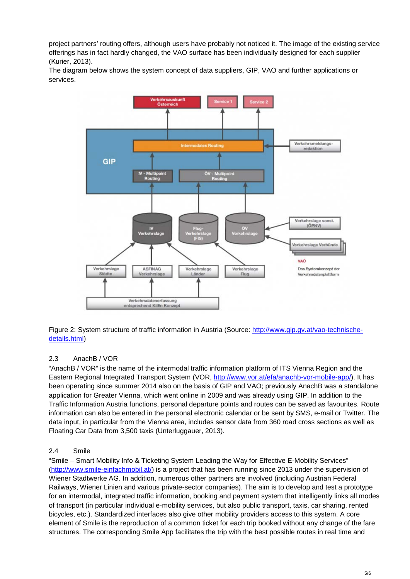project partners' routing offers, although users have probably not noticed it. The image of the existing service offerings has in fact hardly changed, the VAO surface has been individually designed for each supplier (Kurier, 2013).

The diagram below shows the system concept of data suppliers, GIP, VAO and further applications or services.



Figure 2: System structure of traffic information in Austria (Source: [http://www.gip.gv.at/vao-technische](http://www.gip.gv.at/vao-technische-details.html)[details.html\)](http://www.gip.gv.at/vao-technische-details.html)

### 2.3 AnachB / VOR

"AnachB / VOR" is the name of the intermodal traffic information platform of ITS Vienna Region and the Eastern Regional Integrated Transport System (VOR, [http://www.vor.at/efa/anachb-vor-mobile-app/\)](http://www.vor.at/efa/anachb-vor-mobile-app/). It has been operating since summer 2014 also on the basis of GIP and VAO; previously AnachB was a standalone application for Greater Vienna, which went online in 2009 and was already using GIP. In addition to the Traffic Information Austria functions, personal departure points and routes can be saved as favourites. Route information can also be entered in the personal electronic calendar or be sent by SMS, e-mail or Twitter. The data input, in particular from the Vienna area, includes sensor data from 360 road cross sections as well as Floating Car Data from 3,500 taxis (Unterluggauer, 2013).

#### 2.4 Smile

"Smile – Smart Mobility Info & Ticketing System Leading the Way for Effective E-Mobility Services" [\(http://www.smile-einfachmobil.at/\)](http://www.smile-einfachmobil.at/) is a project that has been running since 2013 under the supervision of Wiener Stadtwerke AG. In addition, numerous other partners are involved (including Austrian Federal Railways, Wiener Linien and various private-sector companies). The aim is to develop and test a prototype for an intermodal, integrated traffic information, booking and payment system that intelligently links all modes of transport (in particular individual e-mobility services, but also public transport, taxis, car sharing, rented bicycles, etc.). Standardized interfaces also give other mobility providers access to this system. A core element of Smile is the reproduction of a common ticket for each trip booked without any change of the fare structures. The corresponding Smile App facilitates the trip with the best possible routes in real time and